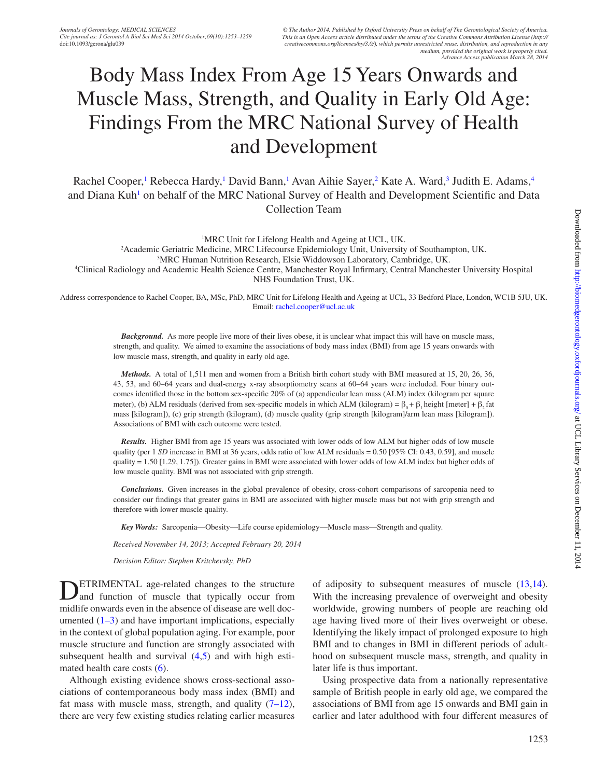# Body Mass Index From Age 15 Years Onwards and Muscle Mass, Strength, and Quality in Early Old Age: Findings From the MRC National Survey of Health and Development

Rachel Cooper,<sup>[1](#page-0-0)</sup> Rebecca Hardy,<sup>1</sup> David Bann,<sup>1</sup> Avan Aihie Sayer,<sup>2</sup> Kate A. Ward,<sup>[3](#page-0-2)</sup> Judith E. Adams,<sup>4</sup> and Diana Kuh<sup>[1](#page-0-0)</sup> on behalf of the MRC National Survey of Health and Development Scientific and Data Collection Team

<span id="page-0-2"></span><span id="page-0-1"></span><span id="page-0-0"></span><sup>1</sup>MRC Unit for Lifelong Health and Ageing at UCL, UK.

2 Academic Geriatric Medicine, MRC Lifecourse Epidemiology Unit, University of Southampton, UK.

3 MRC Human Nutrition Research, Elsie Widdowson Laboratory, Cambridge, UK.

<span id="page-0-3"></span>4 Clinical Radiology and Academic Health Science Centre, Manchester Royal Infirmary, Central Manchester University Hospital NHS Foundation Trust, UK.

Address correspondence to Rachel Cooper, BA, MSc, PhD, MRC Unit for Lifelong Health and Ageing at UCL, 33 Bedford Place, London, WC1B 5JU, UK. Email: [rachel.cooper@ucl.ac.uk](mailto:rachel.cooper@ucl.ac.uk?subject=)

> *Background.* As more people live more of their lives obese, it is unclear what impact this will have on muscle mass, strength, and quality. We aimed to examine the associations of body mass index (BMI) from age 15 years onwards with low muscle mass, strength, and quality in early old age.

> *Methods.* A total of 1,511 men and women from a British birth cohort study with BMI measured at 15, 20, 26, 36, 43, 53, and 60–64 years and dual-energy x-ray absorptiometry scans at 60–64 years were included. Four binary outcomes identified those in the bottom sex-specific 20% of (a) appendicular lean mass (ALM) index (kilogram per square meter), (b) ALM residuals (derived from sex-specific models in which ALM (kilogram) =  $\beta_0 + \beta_1$  height [meter] +  $\beta_2$  fat mass [kilogram]), (c) grip strength (kilogram), (d) muscle quality (grip strength [kilogram]/arm lean mass [kilogram]). Associations of BMI with each outcome were tested.

> *Results.* Higher BMI from age 15 years was associated with lower odds of low ALM but higher odds of low muscle quality (per 1 *SD* increase in BMI at 36 years, odds ratio of low ALM residuals = 0.50 [95% CI: 0.43, 0.59], and muscle quality = 1.50 [1.29, 1.75]). Greater gains in BMI were associated with lower odds of low ALM index but higher odds of low muscle quality. BMI was not associated with grip strength.

> *Conclusions.* Given increases in the global prevalence of obesity, cross-cohort comparisons of sarcopenia need to consider our findings that greater gains in BMI are associated with higher muscle mass but not with grip strength and therefore with lower muscle quality.

*Key Words:* Sarcopenia—Obesity—Life course epidemiology—Muscle mass—Strength and quality.

*Received November 14, 2013; Accepted February 20, 2014*

*Decision Editor: Stephen Kritchevsky, PhD*

ETRIMENTAL age-related changes to the structure and function of muscle that typically occur from midlife onwards even in the absence of disease are well documented  $(1-3)$  and have important implications, especially in the context of global population aging. For example, poor muscle structure and function are strongly associated with subsequent health and survival  $(4,5)$  $(4,5)$  $(4,5)$  $(4,5)$  and with high estimated health care costs ([6\)](#page-5-3).

Although existing evidence shows cross-sectional associations of contemporaneous body mass index (BMI) and fat mass with muscle mass, strength, and quality  $(7-12)$ , there are very few existing studies relating earlier measures of adiposity to subsequent measures of muscle ([13](#page-6-0)[,14](#page-6-1)). With the increasing prevalence of overweight and obesity worldwide, growing numbers of people are reaching old age having lived more of their lives overweight or obese. Identifying the likely impact of prolonged exposure to high BMI and to changes in BMI in different periods of adulthood on subsequent muscle mass, strength, and quality in later life is thus important.

Using prospective data from a nationally representative sample of British people in early old age, we compared the associations of BMI from age 15 onwards and BMI gain in earlier and later adulthood with four different measures of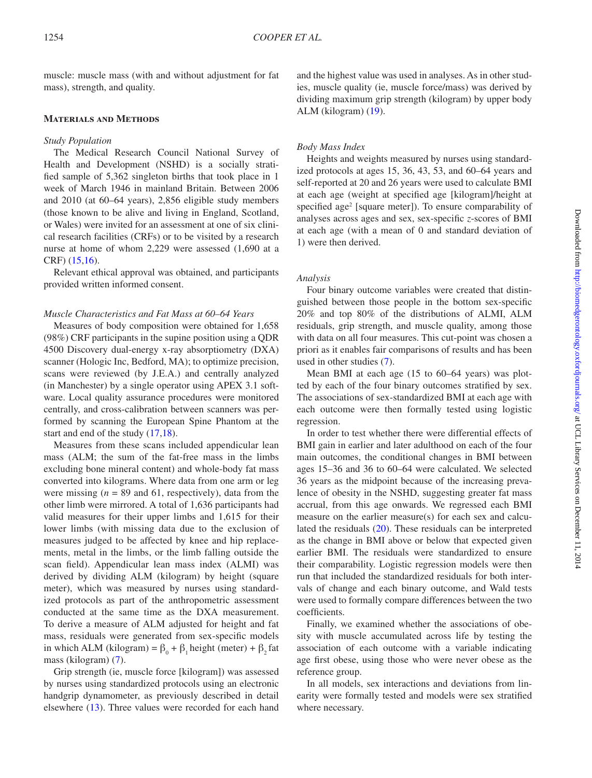muscle: muscle mass (with and without adjustment for fat mass), strength, and quality.

## **Materials and Methods**

## *Study Population*

The Medical Research Council National Survey of Health and Development (NSHD) is a socially stratified sample of 5,362 singleton births that took place in 1 week of March 1946 in mainland Britain. Between 2006 and 2010 (at 60–64 years), 2,856 eligible study members (those known to be alive and living in England, Scotland, or Wales) were invited for an assessment at one of six clinical research facilities (CRFs) or to be visited by a research nurse at home of whom 2,229 were assessed (1,690 at a CRF) [\(15](#page-6-2),[16\)](#page-6-3).

Relevant ethical approval was obtained, and participants provided written informed consent.

## *Muscle Characteristics and Fat Mass at 60–64 Years*

Measures of body composition were obtained for 1,658 (98%) CRF participants in the supine position using a QDR 4500 Discovery dual-energy x-ray absorptiometry (DXA) scanner (Hologic Inc, Bedford, MA); to optimize precision, scans were reviewed (by J.E.A.) and centrally analyzed (in Manchester) by a single operator using APEX 3.1 software. Local quality assurance procedures were monitored centrally, and cross-calibration between scanners was performed by scanning the European Spine Phantom at the start and end of the study ([17,](#page-6-4)[18](#page-6-5)).

Measures from these scans included appendicular lean mass (ALM; the sum of the fat-free mass in the limbs excluding bone mineral content) and whole-body fat mass converted into kilograms. Where data from one arm or leg were missing  $(n = 89 \text{ and } 61, \text{ respectively})$ , data from the other limb were mirrored. A total of 1,636 participants had valid measures for their upper limbs and 1,615 for their lower limbs (with missing data due to the exclusion of measures judged to be affected by knee and hip replacements, metal in the limbs, or the limb falling outside the scan field). Appendicular lean mass index (ALMI) was derived by dividing ALM (kilogram) by height (square meter), which was measured by nurses using standardized protocols as part of the anthropometric assessment conducted at the same time as the DXA measurement. To derive a measure of ALM adjusted for height and fat mass, residuals were generated from sex-specific models in which ALM (kilogram) =  $\beta_0 + \beta_1$  height (meter) +  $\beta_2$  fat mass (kilogram) ([7\)](#page-5-4).

Grip strength (ie, muscle force [kilogram]) was assessed by nurses using standardized protocols using an electronic handgrip dynamometer, as previously described in detail elsewhere [\(13](#page-6-0)). Three values were recorded for each hand

and the highest value was used in analyses. As in other studies, muscle quality (ie, muscle force/mass) was derived by dividing maximum grip strength (kilogram) by upper body ALM (kilogram) ([19\)](#page-6-6).

## *Body Mass Index*

Heights and weights measured by nurses using standardized protocols at ages 15, 36, 43, 53, and 60–64 years and self-reported at 20 and 26 years were used to calculate BMI at each age (weight at specified age [kilogram]/height at specified age<sup>2</sup> [square meter]). To ensure comparability of analyses across ages and sex, sex-specific *z*-scores of BMI at each age (with a mean of 0 and standard deviation of 1) were then derived.

## *Analysis*

Four binary outcome variables were created that distinguished between those people in the bottom sex-specific 20% and top 80% of the distributions of ALMI, ALM residuals, grip strength, and muscle quality, among those with data on all four measures. This cut-point was chosen a priori as it enables fair comparisons of results and has been used in other studies [\(7](#page-5-4)).

Mean BMI at each age (15 to 60–64 years) was plotted by each of the four binary outcomes stratified by sex. The associations of sex-standardized BMI at each age with each outcome were then formally tested using logistic regression.

In order to test whether there were differential effects of BMI gain in earlier and later adulthood on each of the four main outcomes, the conditional changes in BMI between ages 15–36 and 36 to 60–64 were calculated. We selected 36 years as the midpoint because of the increasing prevalence of obesity in the NSHD, suggesting greater fat mass accrual, from this age onwards. We regressed each BMI measure on the earlier measure(s) for each sex and calculated the residuals [\(20](#page-6-7)). These residuals can be interpreted as the change in BMI above or below that expected given earlier BMI. The residuals were standardized to ensure their comparability. Logistic regression models were then run that included the standardized residuals for both intervals of change and each binary outcome, and Wald tests were used to formally compare differences between the two coefficients.

Finally, we examined whether the associations of obesity with muscle accumulated across life by testing the association of each outcome with a variable indicating age first obese, using those who were never obese as the reference group.

In all models, sex interactions and deviations from linearity were formally tested and models were sex stratified where necessary.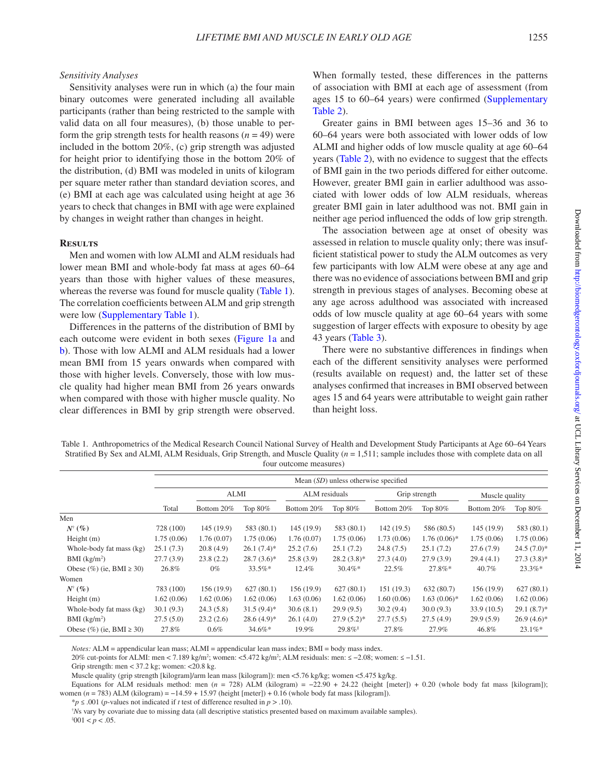#### *Sensitivity Analyses*

Sensitivity analyses were run in which (a) the four main binary outcomes were generated including all available participants (rather than being restricted to the sample with valid data on all four measures), (b) those unable to perform the grip strength tests for health reasons  $(n = 49)$  were included in the bottom 20%, (c) grip strength was adjusted for height prior to identifying those in the bottom 20% of the distribution, (d) BMI was modeled in units of kilogram per square meter rather than standard deviation scores, and (e) BMI at each age was calculated using height at age 36 years to check that changes in BMI with age were explained by changes in weight rather than changes in height.

## **Results**

Men and women with low ALMI and ALM residuals had lower mean BMI and whole-body fat mass at ages 60–64 years than those with higher values of these measures, whereas the reverse was found for muscle quality ([Table 1\)](#page-2-0). The correlation coefficients between ALM and grip strength were low ([Supplementary Table 1\)](http://biomedgerontology.oxfordjournals.org/lookup/suppl/doi:10.1093/gerona/glu039/-/DC1).

Differences in the patterns of the distribution of BMI by each outcome were evident in both sexes ([Figure 1a](#page-3-0) and [b](#page-3-0)). Those with low ALMI and ALM residuals had a lower mean BMI from 15 years onwards when compared with those with higher levels. Conversely, those with low muscle quality had higher mean BMI from 26 years onwards when compared with those with higher muscle quality. No clear differences in BMI by grip strength were observed.

When formally tested, these differences in the patterns of association with BMI at each age of assessment (from ages 15 to 60–64 years) were confirmed [\(Supplementary](http://biomedgerontology.oxfordjournals.org/lookup/suppl/doi:10.1093/gerona/glu039/-/DC1) [Table 2](http://biomedgerontology.oxfordjournals.org/lookup/suppl/doi:10.1093/gerona/glu039/-/DC1)).

Greater gains in BMI between ages 15–36 and 36 to 60–64 years were both associated with lower odds of low ALMI and higher odds of low muscle quality at age 60–64 years ([Table 2](#page-4-0)), with no evidence to suggest that the effects of BMI gain in the two periods differed for either outcome. However, greater BMI gain in earlier adulthood was associated with lower odds of low ALM residuals, whereas greater BMI gain in later adulthood was not. BMI gain in neither age period influenced the odds of low grip strength.

The association between age at onset of obesity was assessed in relation to muscle quality only; there was insufficient statistical power to study the ALM outcomes as very few participants with low ALM were obese at any age and there was no evidence of associations between BMI and grip strength in previous stages of analyses. Becoming obese at any age across adulthood was associated with increased odds of low muscle quality at age 60–64 years with some suggestion of larger effects with exposure to obesity by age 43 years [\(Table 3\)](#page-4-1).

There were no substantive differences in findings when each of the different sensitivity analyses were performed (results available on request) and, the latter set of these analyses confirmed that increases in BMI observed between ages 15 and 64 years were attributable to weight gain rather than height loss.

<span id="page-2-0"></span>Table 1. Anthropometrics of the Medical Research Council National Survey of Health and Development Study Participants at Age 60–64 Years Stratified By Sex and ALMI, ALM Residuals, Grip Strength, and Muscle Quality ( $n = 1.511$ ; sample includes those with complete data on all four outcome measures)

|                                   | Mean (SD) unless otherwise specified |             |               |               |                       |               |                |                |               |
|-----------------------------------|--------------------------------------|-------------|---------------|---------------|-----------------------|---------------|----------------|----------------|---------------|
|                                   |                                      | <b>ALMI</b> |               | ALM residuals |                       | Grip strength |                | Muscle quality |               |
|                                   | Total                                | Bottom 20%  | Top 80%       | Bottom 20%    | Top 80%               | Bottom 20%    | Top 80%        | Bottom 20%     | Top 80%       |
| Men                               |                                      |             |               |               |                       |               |                |                |               |
| $N^{\dagger}(\%)$                 | 728 (100)                            | 145(19.9)   | 583 (80.1)    | 145 (19.9)    | 583 (80.1)            | 142(19.5)     | 586 (80.5)     | 145(19.9)      | 583 (80.1)    |
| Height $(m)$                      | 1.75(0.06)                           | 1.76(0.07)  | 1.75(0.06)    | 1.76(0.07)    | 1.75(0.06)            | 1.73(0.06)    | $1.76(0.06)*$  | 1.75(0.06)     | 1.75(0.06)    |
| Whole-body fat mass (kg)          | 25.1(7.3)                            | 20.8(4.9)   | $26.1(7.4)$ * | 25.2(7.6)     | 25.1(7.2)             | 24.8(7.5)     | 25.1(7.2)      | 27.6(7.9)      | $24.5(7.0)^*$ |
| $BMI$ (kg/m <sup>2</sup> )        | 27.7(3.9)                            | 23.8(2.2)   | $28.7(3.6)^*$ | 25.8(3.9)     | $28.2(3.8)*$          | 27.3(4.0)     | 27.9(3.9)      | 29.4(4.1)      | $27.3(3.8)^*$ |
| Obese $(\%)$ (ie, BMI $\geq 30$ ) | 26.8%                                | $0\%$       | 33.5%*        | 12.4%         | $30.4\%*$             | 22.5%         | $27.8\%*$      | 40.7%          | $23.3\%*$     |
| Women                             |                                      |             |               |               |                       |               |                |                |               |
| $N^{\dagger}$ (%)                 | 783 (100)                            | 156(19.9)   | 627(80.1)     | 156 (19.9)    | 627(80.1)             | 151 (19.3)    | 632(80.7)      | 156(19.9)      | 627(80.1)     |
| Height $(m)$                      | 1.62(0.06)                           | 1.62(0.06)  | 1.62(0.06)    | 1.63(0.06)    | 1.62(0.06)            | 1.60(0.06)    | $1.63(0.06)^*$ | 1.62(0.06)     | 1.62(0.06)    |
| Whole-body fat mass (kg)          | 30.1(9.3)                            | 24.3(5.8)   | $31.5(9.4)$ * | 30.6(8.1)     | 29.9(9.5)             | 30.2(9.4)     | 30.0(9.3)      | 33.9(10.5)     | $29.1(8.7)^*$ |
| BMI (kg/m <sup>2</sup> )          | 27.5(5.0)                            | 23.2(2.6)   | $28.6(4.9)$ * | 26.1(4.0)     | $27.9(5.2)^{*}$       | 27.7(5.5)     | 27.5(4.9)      | 29.9(5.9)      | $26.9(4.6)^*$ |
| Obese $(\%)$ (ie, BMI $\geq 30$ ) | 27.8%                                | 0.6%        | $34.6\%$ *    | 19.9%         | $29.8\%$ <sup>‡</sup> | 27.8%         | 27.9%          | 46.8%          | $23.1\%$ *    |

*Notes:* ALM = appendicular lean mass; ALMI = appendicular lean mass index; BMI = body mass index.

20% cut-points for ALMI: men < 7.189 kg/m<sup>2</sup>; women: <5.472 kg/m<sup>2</sup>; ALM residuals: men:  $\le -2.08$ ; women:  $\le -1.51$ .

Muscle quality (grip strength [kilogram]/arm lean mass [kilogram]): men <5.76 kg/kg; women <5.475 kg/kg.

Equations for ALM residuals method: men  $(n = 728)$  ALM (kilogram) =  $-22.90 + 24.22$  (height [meter]) + 0.20 (whole body fat mass [kilogram]); women (*n* = 783) ALM (kilogram) = −14.59 + 15.97 (height [meter]) + 0.16 (whole body fat mass [kilogram]).

\**p* ≤ .001 (*p*-values not indicated if *t* test of difference resulted in *<sup>p</sup>* <sup>&</sup>gt; .10). †

*N*s vary by covariate due to missing data (all descriptive statistics presented based on maximum available samples).  $^{\text{*}}001 < p < .05$ .

Grip strength: men  $<$  37.2 kg; women:  $<$  20.8 kg.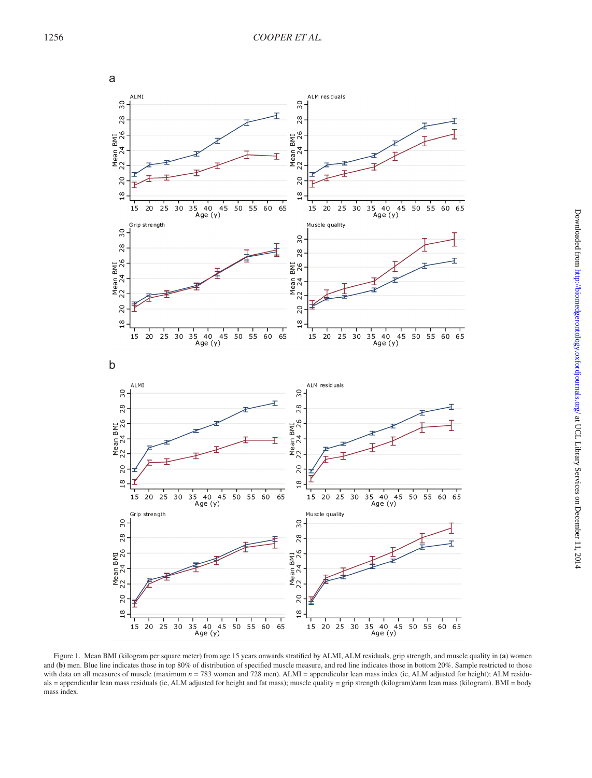

<span id="page-3-0"></span>Figure 1. Mean BMI (kilogram per square meter) from age 15 years onwards stratified by ALMI, ALM residuals, grip strength, and muscle quality in (**a**) women and (b) men. Blue line indicates those in top 80% of distribution of specified muscle measure, and red line indicates those in bottom 20%. Sample restricted to those with data on all measures of muscle (maximum  $n = 783$  women and 728 men). ALMI = appendicular lean mass index (ie, ALM adjusted for height); ALM residuals = appendicular lean mass residuals (ie, ALM adjusted for height and fat mass); muscle quality = grip strength (kilogram)/arm lean mass (kilogram). BMI = body mass index.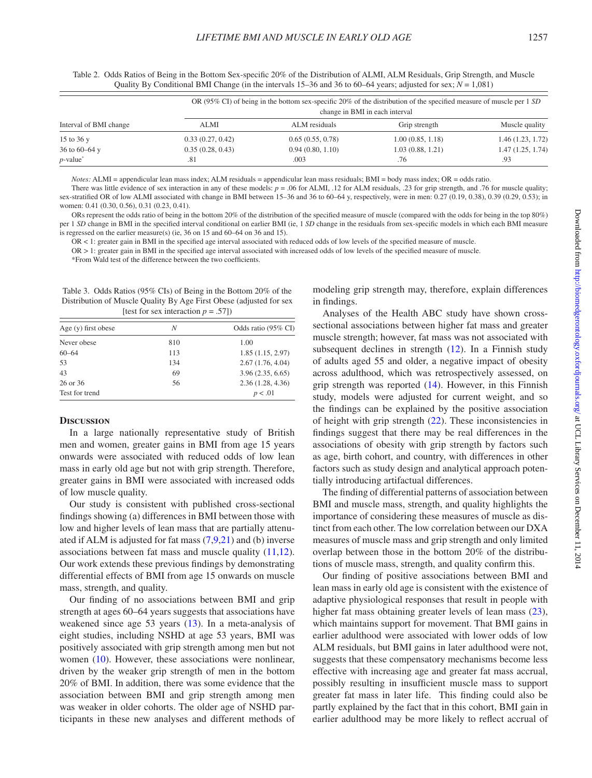|                         | OR (95% CI) of being in the bottom sex-specific 20% of the distribution of the specified measure of muscle per 1 SD<br>change in BMI in each interval |                  |                  |                  |  |  |  |
|-------------------------|-------------------------------------------------------------------------------------------------------------------------------------------------------|------------------|------------------|------------------|--|--|--|
| Interval of BMI change  | ALMI                                                                                                                                                  | ALM residuals    | Grip strength    | Muscle quality   |  |  |  |
| 15 to 36 $y$            | 0.33(0.27, 0.42)                                                                                                                                      | 0.65(0.55, 0.78) | 1.00(0.85, 1.18) | 1.46(1.23, 1.72) |  |  |  |
| 36 to 60–64 y           | 0.35(0.28, 0.43)                                                                                                                                      | 0.94(0.80, 1.10) | 1.03(0.88, 1.21) | 1.47(1.25, 1.74) |  |  |  |
| $p$ -value <sup>*</sup> | .81                                                                                                                                                   | .003             | .76              | .93              |  |  |  |

<span id="page-4-0"></span>Table 2. Odds Ratios of Being in the Bottom Sex-specific 20% of the Distribution of ALMI, ALM Residuals, Grip Strength, and Muscle Quality By Conditional BMI Change (in the intervals 15–36 and 36 to 60–64 years; adjusted for sex;  $N = 1,081$ )

*Notes:* ALMI = appendicular lean mass index; ALM residuals = appendicular lean mass residuals; BMI = body mass index; OR = odds ratio.

There was little evidence of sex interaction in any of these models:  $p = .06$  for ALMI, .12 for ALM residuals, .23 for grip strength, and .76 for muscle quality; sex-stratified OR of low ALMI associated with change in BMI between 15–36 and 36 to 60–64 y, respectively, were in men: 0.27 (0.19, 0.38), 0.39 (0.29, 0.53); in women: 0.41 (0.30, 0.56), 0.31 (0.23, 0.41).

ORs represent the odds ratio of being in the bottom 20% of the distribution of the specified measure of muscle (compared with the odds for being in the top 80%) per 1 *SD* change in BMI in the specified interval conditional on earlier BMI (ie, 1 *SD* change in the residuals from sex-specific models in which each BMI measure is regressed on the earlier measure(s) (ie, 36 on 15 and 60–64 on 36 and 15).

OR < 1: greater gain in BMI in the specified age interval associated with reduced odds of low levels of the specified measure of muscle.

OR > 1: greater gain in BMI in the specified age interval associated with increased odds of low levels of the specified measure of muscle.

\*From Wald test of the difference between the two coefficients.

<span id="page-4-1"></span>Table 3. Odds Ratios (95% CIs) of Being in the Bottom 20% of the Distribution of Muscle Quality By Age First Obese (adjusted for sex [test for sex interaction  $p = .57$ ])

| Age $(y)$ first obese | N   | Odds ratio (95% CI) |  |  |
|-----------------------|-----|---------------------|--|--|
| Never obese           | 810 | 1.00                |  |  |
| $60 - 64$             | 113 | 1.85(1.15, 2.97)    |  |  |
| 53                    | 134 | 2.67(1.76, 4.04)    |  |  |
| 43                    | 69  | 3.96(2.35, 6.65)    |  |  |
| 26 or 36              | 56  | 2.36(1.28, 4.36)    |  |  |
| Test for trend        |     | p < .01             |  |  |

#### **Discussion**

In a large nationally representative study of British men and women, greater gains in BMI from age 15 years onwards were associated with reduced odds of low lean mass in early old age but not with grip strength. Therefore, greater gains in BMI were associated with increased odds of low muscle quality.

Our study is consistent with published cross-sectional findings showing (a) differences in BMI between those with low and higher levels of lean mass that are partially attenuated if ALM is adjusted for fat mass  $(7,9,21)$  $(7,9,21)$  $(7,9,21)$  $(7,9,21)$  $(7,9,21)$  and (b) inverse associations between fat mass and muscle quality [\(11](#page-6-10),[12\)](#page-6-11). Our work extends these previous findings by demonstrating differential effects of BMI from age 15 onwards on muscle mass, strength, and quality.

Our finding of no associations between BMI and grip strength at ages 60–64 years suggests that associations have weakened since age 53 years ([13\)](#page-6-0). In a meta-analysis of eight studies, including NSHD at age 53 years, BMI was positively associated with grip strength among men but not women [\(10](#page-6-12)). However, these associations were nonlinear, driven by the weaker grip strength of men in the bottom 20% of BMI. In addition, there was some evidence that the association between BMI and grip strength among men was weaker in older cohorts. The older age of NSHD participants in these new analyses and different methods of modeling grip strength may, therefore, explain differences in findings.

Analyses of the Health ABC study have shown crosssectional associations between higher fat mass and greater muscle strength; however, fat mass was not associated with subsequent declines in strength [\(12](#page-6-11)). In a Finnish study of adults aged 55 and older, a negative impact of obesity across adulthood, which was retrospectively assessed, on grip strength was reported [\(14](#page-6-1)). However, in this Finnish study, models were adjusted for current weight, and so the findings can be explained by the positive association of height with grip strength ([22\)](#page-6-13). These inconsistencies in findings suggest that there may be real differences in the associations of obesity with grip strength by factors such as age, birth cohort, and country, with differences in other factors such as study design and analytical approach potentially introducing artifactual differences.

The finding of differential patterns of association between BMI and muscle mass, strength, and quality highlights the importance of considering these measures of muscle as distinct from each other. The low correlation between our DXA measures of muscle mass and grip strength and only limited overlap between those in the bottom 20% of the distributions of muscle mass, strength, and quality confirm this.

Our finding of positive associations between BMI and lean mass in early old age is consistent with the existence of adaptive physiological responses that result in people with higher fat mass obtaining greater levels of lean mass [\(23](#page-6-14)), which maintains support for movement. That BMI gains in earlier adulthood were associated with lower odds of low ALM residuals, but BMI gains in later adulthood were not, suggests that these compensatory mechanisms become less effective with increasing age and greater fat mass accrual, possibly resulting in insufficient muscle mass to support greater fat mass in later life. This finding could also be partly explained by the fact that in this cohort, BMI gain in earlier adulthood may be more likely to reflect accrual of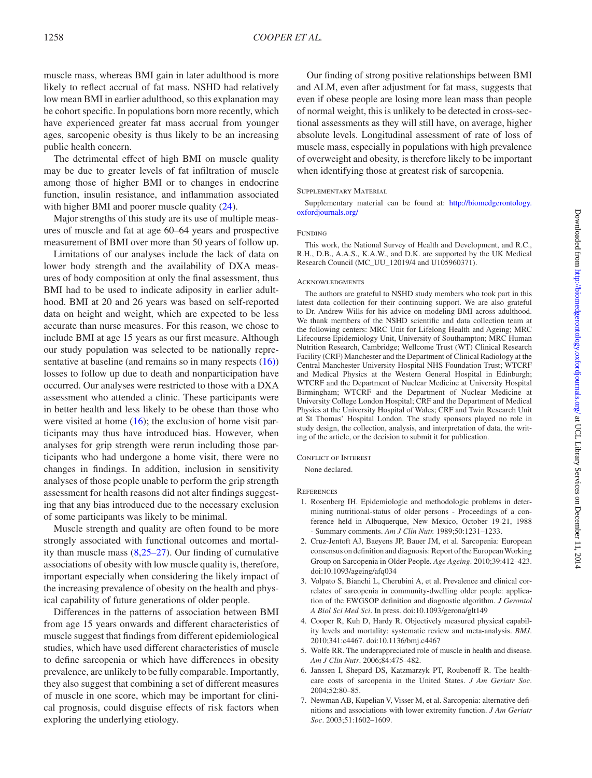muscle mass, whereas BMI gain in later adulthood is more likely to reflect accrual of fat mass. NSHD had relatively low mean BMI in earlier adulthood, so this explanation may be cohort specific. In populations born more recently, which have experienced greater fat mass accrual from younger ages, sarcopenic obesity is thus likely to be an increasing public health concern.

The detrimental effect of high BMI on muscle quality may be due to greater levels of fat infiltration of muscle among those of higher BMI or to changes in endocrine function, insulin resistance, and inflammation associated with higher BMI and poorer muscle quality  $(24)$  $(24)$ .

Major strengths of this study are its use of multiple measures of muscle and fat at age 60–64 years and prospective measurement of BMI over more than 50 years of follow up.

Limitations of our analyses include the lack of data on lower body strength and the availability of DXA measures of body composition at only the final assessment, thus BMI had to be used to indicate adiposity in earlier adulthood. BMI at 20 and 26 years was based on self-reported data on height and weight, which are expected to be less accurate than nurse measures. For this reason, we chose to include BMI at age 15 years as our first measure. Although our study population was selected to be nationally representative at baseline (and remains so in many respects  $(16)$  $(16)$ ) losses to follow up due to death and nonparticipation have occurred. Our analyses were restricted to those with a DXA assessment who attended a clinic. These participants were in better health and less likely to be obese than those who were visited at home  $(16)$  $(16)$ ; the exclusion of home visit participants may thus have introduced bias. However, when analyses for grip strength were rerun including those participants who had undergone a home visit, there were no changes in findings. In addition, inclusion in sensitivity analyses of those people unable to perform the grip strength assessment for health reasons did not alter findings suggesting that any bias introduced due to the necessary exclusion of some participants was likely to be minimal.

Muscle strength and quality are often found to be more strongly associated with functional outcomes and mortality than muscle mass ([8](#page-6-16)[,25–27](#page-6-17)). Our finding of cumulative associations of obesity with low muscle quality is, therefore, important especially when considering the likely impact of the increasing prevalence of obesity on the health and physical capability of future generations of older people.

Differences in the patterns of association between BMI from age 15 years onwards and different characteristics of muscle suggest that findings from different epidemiological studies, which have used different characteristics of muscle to define sarcopenia or which have differences in obesity prevalence, are unlikely to be fully comparable. Importantly, they also suggest that combining a set of different measures of muscle in one score, which may be important for clinical prognosis, could disguise effects of risk factors when exploring the underlying etiology.

Our finding of strong positive relationships between BMI and ALM, even after adjustment for fat mass, suggests that even if obese people are losing more lean mass than people of normal weight, this is unlikely to be detected in cross-sectional assessments as they will still have, on average, higher absolute levels. Longitudinal assessment of rate of loss of muscle mass, especially in populations with high prevalence of overweight and obesity, is therefore likely to be important when identifying those at greatest risk of sarcopenia.

#### Supplementary Material

Supplementary material can be found at: [http://biomedgerontology.](http://biomedgerontology.oxfordjournals.org/lookup/suppl/doi:10.1093/gerona/glu039/-/DC1) [oxfordjournals.org/](http://biomedgerontology.oxfordjournals.org/lookup/suppl/doi:10.1093/gerona/glu039/-/DC1)

#### Funding

This work, the National Survey of Health and Development, and R.C., R.H., D.B., A.A.S., K.A.W., and D.K. are supported by the UK Medical Research Council (MC\_UU\_12019/4 and U105960371).

#### **ACKNOWLEDGMENTS**

The authors are grateful to NSHD study members who took part in this latest data collection for their continuing support. We are also grateful to Dr. Andrew Wills for his advice on modeling BMI across adulthood. We thank members of the NSHD scientific and data collection team at the following centers: MRC Unit for Lifelong Health and Ageing; MRC Lifecourse Epidemiology Unit, University of Southampton; MRC Human Nutrition Research, Cambridge; Wellcome Trust (WT) Clinical Research Facility (CRF) Manchester and the Department of Clinical Radiology at the Central Manchester University Hospital NHS Foundation Trust; WTCRF and Medical Physics at the Western General Hospital in Edinburgh; WTCRF and the Department of Nuclear Medicine at University Hospital Birmingham; WTCRF and the Department of Nuclear Medicine at University College London Hospital; CRF and the Department of Medical Physics at the University Hospital of Wales; CRF and Twin Research Unit at St Thomas' Hospital London. The study sponsors played no role in study design, the collection, analysis, and interpretation of data, the writing of the article, or the decision to submit it for publication.

#### CONFLICT OF INTEREST

None declared.

#### **REFERENCES**

- <span id="page-5-0"></span>1. Rosenberg IH. Epidemiologic and methodologic problems in determining nutritional-status of older persons - Proceedings of a conference held in Albuquerque, New Mexico, October 19-21, 1988 - Summary comments. *Am J Clin Nutr.* 1989;50:1231–1233.
- 2. Cruz-Jentoft AJ, Baeyens JP, Bauer JM, et al. Sarcopenia: European consensus on definition and diagnosis: Report of the European Working Group on Sarcopenia in Older People. *Age Ageing*. 2010;39:412–423. doi:10.1093/ageing/afq034
- 3. Volpato S, Bianchi L, Cherubini A, et al. Prevalence and clinical correlates of sarcopenia in community-dwelling older people: application of the EWGSOP definition and diagnostic algorithm. *J Gerontol A Biol Sci Med Sci*. In press. doi:10.1093/gerona/glt149
- <span id="page-5-1"></span>4. Cooper R, Kuh D, Hardy R. Objectively measured physical capability levels and mortality: systematic review and meta-analysis. *BMJ*. 2010;341:c4467. doi:10.1136/bmj.c4467
- <span id="page-5-2"></span>5. Wolfe RR. The underappreciated role of muscle in health and disease. *Am J Clin Nutr*. 2006;84:475–482.
- <span id="page-5-3"></span>6. Janssen I, Shepard DS, Katzmarzyk PT, Roubenoff R. The healthcare costs of sarcopenia in the United States. *J Am Geriatr Soc*. 2004;52:80–85.
- <span id="page-5-4"></span>7. Newman AB, Kupelian V, Visser M, et al. Sarcopenia: alternative definitions and associations with lower extremity function. *J Am Geriatr Soc*. 2003;51:1602–1609.